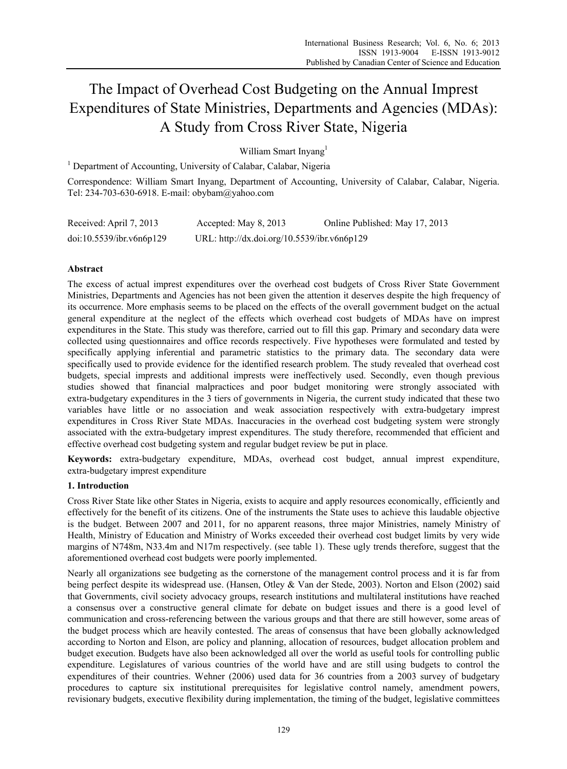# The Impact of Overhead Cost Budgeting on the Annual Imprest Expenditures of State Ministries, Departments and Agencies (MDAs): A Study from Cross River State, Nigeria

William Smart Invang<sup>1</sup>

<sup>1</sup> Department of Accounting, University of Calabar, Calabar, Nigeria

Correspondence: William Smart Inyang, Department of Accounting, University of Calabar, Calabar, Nigeria. Tel: 234-703-630-6918. E-mail: obybam@yahoo.com

| Received: April 7, 2013  | Accepted: May 8, 2013                       | Online Published: May 17, 2013 |
|--------------------------|---------------------------------------------|--------------------------------|
| doi:10.5539/ibr.v6n6p129 | URL: http://dx.doi.org/10.5539/ibr.v6n6p129 |                                |

# **Abstract**

The excess of actual imprest expenditures over the overhead cost budgets of Cross River State Government Ministries, Departments and Agencies has not been given the attention it deserves despite the high frequency of its occurrence. More emphasis seems to be placed on the effects of the overall government budget on the actual general expenditure at the neglect of the effects which overhead cost budgets of MDAs have on imprest expenditures in the State. This study was therefore, carried out to fill this gap. Primary and secondary data were collected using questionnaires and office records respectively. Five hypotheses were formulated and tested by specifically applying inferential and parametric statistics to the primary data. The secondary data were specifically used to provide evidence for the identified research problem. The study revealed that overhead cost budgets, special imprests and additional imprests were ineffectively used. Secondly, even though previous studies showed that financial malpractices and poor budget monitoring were strongly associated with extra-budgetary expenditures in the 3 tiers of governments in Nigeria, the current study indicated that these two variables have little or no association and weak association respectively with extra-budgetary imprest expenditures in Cross River State MDAs. Inaccuracies in the overhead cost budgeting system were strongly associated with the extra-budgetary imprest expenditures. The study therefore, recommended that efficient and effective overhead cost budgeting system and regular budget review be put in place.

**Keywords:** extra-budgetary expenditure, MDAs, overhead cost budget, annual imprest expenditure, extra-budgetary imprest expenditure

# **1. Introduction**

Cross River State like other States in Nigeria, exists to acquire and apply resources economically, efficiently and effectively for the benefit of its citizens. One of the instruments the State uses to achieve this laudable objective is the budget. Between 2007 and 2011, for no apparent reasons, three major Ministries, namely Ministry of Health, Ministry of Education and Ministry of Works exceeded their overhead cost budget limits by very wide margins of N748m, N33.4m and N17m respectively. (see table 1). These ugly trends therefore, suggest that the aforementioned overhead cost budgets were poorly implemented.

Nearly all organizations see budgeting as the cornerstone of the management control process and it is far from being perfect despite its widespread use. (Hansen, Otley & Van der Stede, 2003). Norton and Elson (2002) said that Governments, civil society advocacy groups, research institutions and multilateral institutions have reached a consensus over a constructive general climate for debate on budget issues and there is a good level of communication and cross-referencing between the various groups and that there are still however, some areas of the budget process which are heavily contested. The areas of consensus that have been globally acknowledged according to Norton and Elson, are policy and planning, allocation of resources, budget allocation problem and budget execution. Budgets have also been acknowledged all over the world as useful tools for controlling public expenditure. Legislatures of various countries of the world have and are still using budgets to control the expenditures of their countries. Wehner (2006) used data for 36 countries from a 2003 survey of budgetary procedures to capture six institutional prerequisites for legislative control namely, amendment powers, revisionary budgets, executive flexibility during implementation, the timing of the budget, legislative committees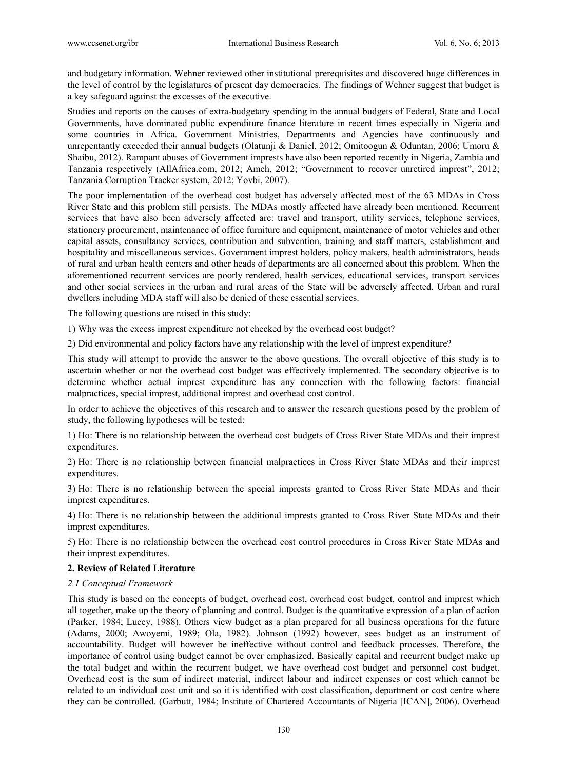and budgetary information. Wehner reviewed other institutional prerequisites and discovered huge differences in the level of control by the legislatures of present day democracies. The findings of Wehner suggest that budget is a key safeguard against the excesses of the executive.

Studies and reports on the causes of extra-budgetary spending in the annual budgets of Federal, State and Local Governments, have dominated public expenditure finance literature in recent times especially in Nigeria and some countries in Africa. Government Ministries, Departments and Agencies have continuously and unrepentantly exceeded their annual budgets (Olatunji & Daniel, 2012; Omitoogun & Oduntan, 2006; Umoru & Shaibu, 2012). Rampant abuses of Government imprests have also been reported recently in Nigeria, Zambia and Tanzania respectively (AllAfrica.com, 2012; Ameh, 2012; "Government to recover unretired imprest", 2012; Tanzania Corruption Tracker system, 2012; Yovbi, 2007).

The poor implementation of the overhead cost budget has adversely affected most of the 63 MDAs in Cross River State and this problem still persists. The MDAs mostly affected have already been mentioned. Recurrent services that have also been adversely affected are: travel and transport, utility services, telephone services, stationery procurement, maintenance of office furniture and equipment, maintenance of motor vehicles and other capital assets, consultancy services, contribution and subvention, training and staff matters, establishment and hospitality and miscellaneous services. Government imprest holders, policy makers, health administrators, heads of rural and urban health centers and other heads of departments are all concerned about this problem. When the aforementioned recurrent services are poorly rendered, health services, educational services, transport services and other social services in the urban and rural areas of the State will be adversely affected. Urban and rural dwellers including MDA staff will also be denied of these essential services.

The following questions are raised in this study:

1) Why was the excess imprest expenditure not checked by the overhead cost budget?

2) Did environmental and policy factors have any relationship with the level of imprest expenditure?

This study will attempt to provide the answer to the above questions. The overall objective of this study is to ascertain whether or not the overhead cost budget was effectively implemented. The secondary objective is to determine whether actual imprest expenditure has any connection with the following factors: financial malpractices, special imprest, additional imprest and overhead cost control.

In order to achieve the objectives of this research and to answer the research questions posed by the problem of study, the following hypotheses will be tested:

1) Ho: There is no relationship between the overhead cost budgets of Cross River State MDAs and their imprest expenditures.

2) Ho: There is no relationship between financial malpractices in Cross River State MDAs and their imprest expenditures.

3) Ho: There is no relationship between the special imprests granted to Cross River State MDAs and their imprest expenditures.

4) Ho: There is no relationship between the additional imprests granted to Cross River State MDAs and their imprest expenditures.

5) Ho: There is no relationship between the overhead cost control procedures in Cross River State MDAs and their imprest expenditures.

# **2. Review of Related Literature**

#### *2.1 Conceptual Framework*

This study is based on the concepts of budget, overhead cost, overhead cost budget, control and imprest which all together, make up the theory of planning and control. Budget is the quantitative expression of a plan of action (Parker, 1984; Lucey, 1988). Others view budget as a plan prepared for all business operations for the future (Adams, 2000; Awoyemi, 1989; Ola, 1982). Johnson (1992) however, sees budget as an instrument of accountability. Budget will however be ineffective without control and feedback processes. Therefore, the importance of control using budget cannot be over emphasized. Basically capital and recurrent budget make up the total budget and within the recurrent budget, we have overhead cost budget and personnel cost budget. Overhead cost is the sum of indirect material, indirect labour and indirect expenses or cost which cannot be related to an individual cost unit and so it is identified with cost classification, department or cost centre where they can be controlled. (Garbutt, 1984; Institute of Chartered Accountants of Nigeria [ICAN], 2006). Overhead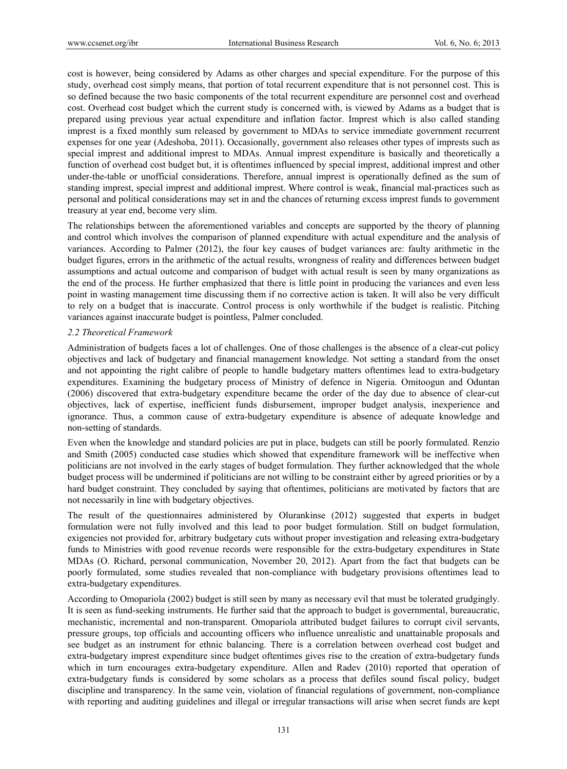cost is however, being considered by Adams as other charges and special expenditure. For the purpose of this study, overhead cost simply means, that portion of total recurrent expenditure that is not personnel cost. This is so defined because the two basic components of the total recurrent expenditure are personnel cost and overhead cost. Overhead cost budget which the current study is concerned with, is viewed by Adams as a budget that is prepared using previous year actual expenditure and inflation factor. Imprest which is also called standing imprest is a fixed monthly sum released by government to MDAs to service immediate government recurrent expenses for one year (Adeshoba, 2011). Occasionally, government also releases other types of imprests such as special imprest and additional imprest to MDAs. Annual imprest expenditure is basically and theoretically a function of overhead cost budget but, it is oftentimes influenced by special imprest, additional imprest and other under-the-table or unofficial considerations. Therefore, annual imprest is operationally defined as the sum of standing imprest, special imprest and additional imprest. Where control is weak, financial mal-practices such as personal and political considerations may set in and the chances of returning excess imprest funds to government treasury at year end, become very slim.

The relationships between the aforementioned variables and concepts are supported by the theory of planning and control which involves the comparison of planned expenditure with actual expenditure and the analysis of variances. According to Palmer (2012), the four key causes of budget variances are: faulty arithmetic in the budget figures, errors in the arithmetic of the actual results, wrongness of reality and differences between budget assumptions and actual outcome and comparison of budget with actual result is seen by many organizations as the end of the process. He further emphasized that there is little point in producing the variances and even less point in wasting management time discussing them if no corrective action is taken. It will also be very difficult to rely on a budget that is inaccurate. Control process is only worthwhile if the budget is realistic. Pitching variances against inaccurate budget is pointless, Palmer concluded.

# *2.2 Theoretical Framework*

Administration of budgets faces a lot of challenges. One of those challenges is the absence of a clear-cut policy objectives and lack of budgetary and financial management knowledge. Not setting a standard from the onset and not appointing the right calibre of people to handle budgetary matters oftentimes lead to extra-budgetary expenditures. Examining the budgetary process of Ministry of defence in Nigeria. Omitoogun and Oduntan (2006) discovered that extra-budgetary expenditure became the order of the day due to absence of clear-cut objectives, lack of expertise, inefficient funds disbursement, improper budget analysis, inexperience and ignorance. Thus, a common cause of extra-budgetary expenditure is absence of adequate knowledge and non-setting of standards.

Even when the knowledge and standard policies are put in place, budgets can still be poorly formulated. Renzio and Smith (2005) conducted case studies which showed that expenditure framework will be ineffective when politicians are not involved in the early stages of budget formulation. They further acknowledged that the whole budget process will be undermined if politicians are not willing to be constraint either by agreed priorities or by a hard budget constraint. They concluded by saying that oftentimes, politicians are motivated by factors that are not necessarily in line with budgetary objectives.

The result of the questionnaires administered by Olurankinse (2012) suggested that experts in budget formulation were not fully involved and this lead to poor budget formulation. Still on budget formulation, exigencies not provided for, arbitrary budgetary cuts without proper investigation and releasing extra-budgetary funds to Ministries with good revenue records were responsible for the extra-budgetary expenditures in State MDAs (O. Richard, personal communication, November 20, 2012). Apart from the fact that budgets can be poorly formulated, some studies revealed that non-compliance with budgetary provisions oftentimes lead to extra-budgetary expenditures.

According to Omopariola (2002) budget is still seen by many as necessary evil that must be tolerated grudgingly. It is seen as fund-seeking instruments. He further said that the approach to budget is governmental, bureaucratic, mechanistic, incremental and non-transparent. Omopariola attributed budget failures to corrupt civil servants, pressure groups, top officials and accounting officers who influence unrealistic and unattainable proposals and see budget as an instrument for ethnic balancing. There is a correlation between overhead cost budget and extra-budgetary imprest expenditure since budget oftentimes gives rise to the creation of extra-budgetary funds which in turn encourages extra-budgetary expenditure. Allen and Radev (2010) reported that operation of extra-budgetary funds is considered by some scholars as a process that defiles sound fiscal policy, budget discipline and transparency. In the same vein, violation of financial regulations of government, non-compliance with reporting and auditing guidelines and illegal or irregular transactions will arise when secret funds are kept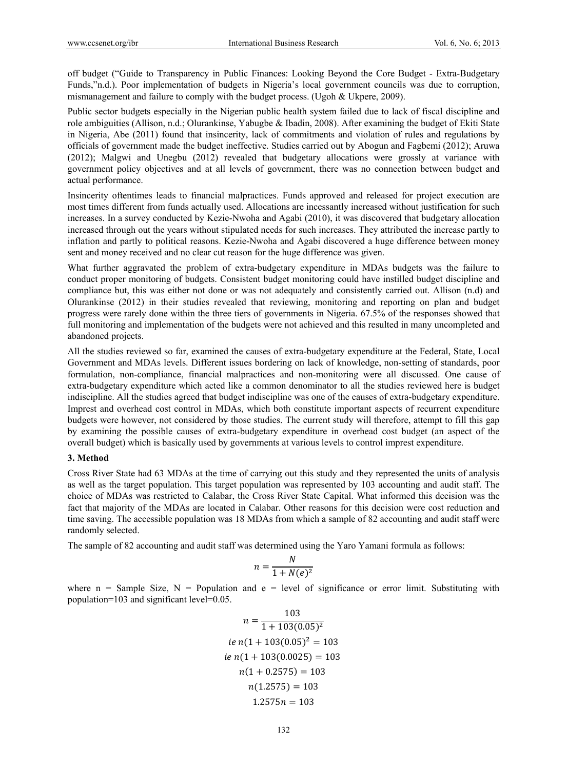off budget ("Guide to Transparency in Public Finances: Looking Beyond the Core Budget - Extra-Budgetary Funds,"n.d.). Poor implementation of budgets in Nigeria's local government councils was due to corruption, mismanagement and failure to comply with the budget process. (Ugoh & Ukpere, 2009).

Public sector budgets especially in the Nigerian public health system failed due to lack of fiscal discipline and role ambiguities (Allison, n.d.; Olurankinse, Yabugbe & Ibadin, 2008). After examining the budget of Ekiti State in Nigeria, Abe (2011) found that insincerity, lack of commitments and violation of rules and regulations by officials of government made the budget ineffective. Studies carried out by Abogun and Fagbemi (2012); Aruwa (2012); Malgwi and Unegbu (2012) revealed that budgetary allocations were grossly at variance with government policy objectives and at all levels of government, there was no connection between budget and actual performance.

Insincerity oftentimes leads to financial malpractices. Funds approved and released for project execution are most times different from funds actually used. Allocations are incessantly increased without justification for such increases. In a survey conducted by Kezie-Nwoha and Agabi (2010), it was discovered that budgetary allocation increased through out the years without stipulated needs for such increases. They attributed the increase partly to inflation and partly to political reasons. Kezie-Nwoha and Agabi discovered a huge difference between money sent and money received and no clear cut reason for the huge difference was given.

What further aggravated the problem of extra-budgetary expenditure in MDAs budgets was the failure to conduct proper monitoring of budgets. Consistent budget monitoring could have instilled budget discipline and compliance but, this was either not done or was not adequately and consistently carried out. Allison (n.d) and Olurankinse (2012) in their studies revealed that reviewing, monitoring and reporting on plan and budget progress were rarely done within the three tiers of governments in Nigeria. 67.5% of the responses showed that full monitoring and implementation of the budgets were not achieved and this resulted in many uncompleted and abandoned projects.

All the studies reviewed so far, examined the causes of extra-budgetary expenditure at the Federal, State, Local Government and MDAs levels. Different issues bordering on lack of knowledge, non-setting of standards, poor formulation, non-compliance, financial malpractices and non-monitoring were all discussed. One cause of extra-budgetary expenditure which acted like a common denominator to all the studies reviewed here is budget indiscipline. All the studies agreed that budget indiscipline was one of the causes of extra-budgetary expenditure. Imprest and overhead cost control in MDAs, which both constitute important aspects of recurrent expenditure budgets were however, not considered by those studies. The current study will therefore, attempt to fill this gap by examining the possible causes of extra-budgetary expenditure in overhead cost budget (an aspect of the overall budget) which is basically used by governments at various levels to control imprest expenditure.

#### **3. Method**

Cross River State had 63 MDAs at the time of carrying out this study and they represented the units of analysis as well as the target population. This target population was represented by 103 accounting and audit staff. The choice of MDAs was restricted to Calabar, the Cross River State Capital. What informed this decision was the fact that majority of the MDAs are located in Calabar. Other reasons for this decision were cost reduction and time saving. The accessible population was 18 MDAs from which a sample of 82 accounting and audit staff were randomly selected.

The sample of 82 accounting and audit staff was determined using the Yaro Yamani formula as follows:

$$
n = \frac{N}{1 + N(e)^2}
$$

where  $n =$  Sample Size,  $N =$  Population and  $e =$  level of significance or error limit. Substituting with population=103 and significant level=0.05.

$$
n = \frac{103}{1 + 103(0.05)^2}
$$
  
ie n(1 + 103(0.05)<sup>2</sup> = 103  
ie n(1 + 103(0.0025) = 103  
n(1 + 0.2575) = 103  
n(1.2575) = 103  
1.2575n = 103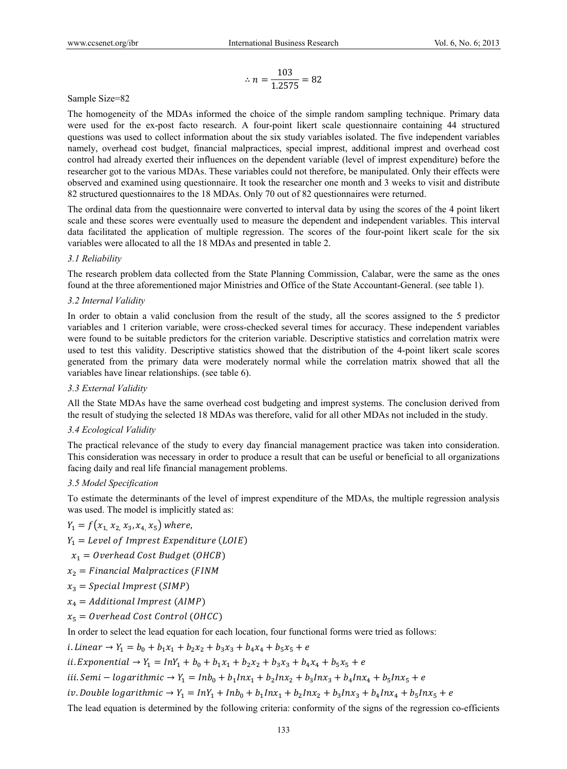$$
\therefore n = \frac{103}{1.2575} = 82
$$

# Sample Size=82

The homogeneity of the MDAs informed the choice of the simple random sampling technique. Primary data were used for the ex-post facto research. A four-point likert scale questionnaire containing 44 structured questions was used to collect information about the six study variables isolated. The five independent variables namely, overhead cost budget, financial malpractices, special imprest, additional imprest and overhead cost control had already exerted their influences on the dependent variable (level of imprest expenditure) before the researcher got to the various MDAs. These variables could not therefore, be manipulated. Only their effects were observed and examined using questionnaire. It took the researcher one month and 3 weeks to visit and distribute 82 structured questionnaires to the 18 MDAs. Only 70 out of 82 questionnaires were returned.

The ordinal data from the questionnaire were converted to interval data by using the scores of the 4 point likert scale and these scores were eventually used to measure the dependent and independent variables. This interval data facilitated the application of multiple regression. The scores of the four-point likert scale for the six variables were allocated to all the 18 MDAs and presented in table 2.

# *3.1 Reliability*

The research problem data collected from the State Planning Commission, Calabar, were the same as the ones found at the three aforementioned major Ministries and Office of the State Accountant-General. (see table 1).

# *3.2 Internal Validity*

In order to obtain a valid conclusion from the result of the study, all the scores assigned to the 5 predictor variables and 1 criterion variable, were cross-checked several times for accuracy. These independent variables were found to be suitable predictors for the criterion variable. Descriptive statistics and correlation matrix were used to test this validity. Descriptive statistics showed that the distribution of the 4-point likert scale scores generated from the primary data were moderately normal while the correlation matrix showed that all the variables have linear relationships. (see table 6).

#### *3.3 External Validity*

All the State MDAs have the same overhead cost budgeting and imprest systems. The conclusion derived from the result of studying the selected 18 MDAs was therefore, valid for all other MDAs not included in the study.

# *3.4 Ecological Validity*

The practical relevance of the study to every day financial management practice was taken into consideration. This consideration was necessary in order to produce a result that can be useful or beneficial to all organizations facing daily and real life financial management problems.

#### *3.5 Model Specification*

To estimate the determinants of the level of imprest expenditure of the MDAs, the multiple regression analysis was used. The model is implicitly stated as:

$$
Y_1 = f(x_1, x_2, x_3, x_4, x_5)
$$
 where,

 $Y_1 = \text{Level of } \text{Im} \text{ prest } \text{Expenditive} \text{ (LOIE)}$ 

 $x_1 = Overhead Cost Budget (OHCB)$ 

 $x_2 =$  Financial Malpractices (FINM

- $x_3 = Special\,$ Imprest (SIMP)
- $x_4 =$  Additional Imprest (AIMP)
- $x_5 = Overhead Cost Control (OHCC)$

In order to select the lead equation for each location, four functional forms were tried as follows:

*i*. *Linear*  $\rightarrow Y_1 = b_0 + b_1x_1 + b_2x_2 + b_3x_3 + b_4x_4 + b_5x_5 + e$ 

ii. Exponential  $\rightarrow Y_1 = InY_1 + b_0 + b_1x_1 + b_2x_2 + b_3x_3 + b_4x_4 + b_5x_5 + e$ 

iii. Semi — logarithmic  $\rightarrow Y_1 = Inb_0 + b_1Inx_1 + b_2Inx_2 + b_3Inx_3 + b_4Inx_4 + b_5Inx_5 + e$ 

iv. Double logarithmic  $\rightarrow Y_1 = InY_1 + Inb_0 + b_1Inx_1 + b_2Inx_2 + b_3Inx_3 + b_4Inx_4 + b_5Inx_5 + e$ 

The lead equation is determined by the following criteria: conformity of the signs of the regression co-efficients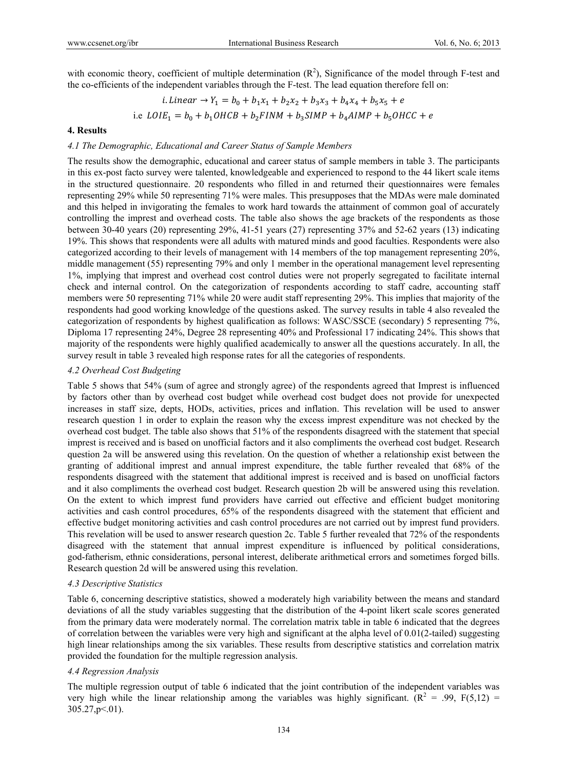with economic theory, coefficient of multiple determination  $(R^2)$ , Significance of the model through F-test and the co-efficients of the independent variables through the F-test. The lead equation therefore fell on:

$$
i. Linear \rightarrow Y_1 = b_0 + b_1x_1 + b_2x_2 + b_3x_3 + b_4x_4 + b_5x_5 + e
$$
  
i.e  $LOIE_1 = b_0 + b_1OHCB + b_2FINM + b_3SIMP + b_4AIMP + b_5OHCC + e$ 

# **4. Results**

# *4.1 The Demographic, Educational and Career Status of Sample Members*

The results show the demographic, educational and career status of sample members in table 3. The participants in this ex-post facto survey were talented, knowledgeable and experienced to respond to the 44 likert scale items in the structured questionnaire. 20 respondents who filled in and returned their questionnaires were females representing 29% while 50 representing 71% were males. This presupposes that the MDAs were male dominated and this helped in invigorating the females to work hard towards the attainment of common goal of accurately controlling the imprest and overhead costs. The table also shows the age brackets of the respondents as those between 30-40 years (20) representing 29%, 41-51 years (27) representing 37% and 52-62 years (13) indicating 19%. This shows that respondents were all adults with matured minds and good faculties. Respondents were also categorized according to their levels of management with 14 members of the top management representing 20%, middle management (55) representing 79% and only 1 member in the operational management level representing 1%, implying that imprest and overhead cost control duties were not properly segregated to facilitate internal check and internal control. On the categorization of respondents according to staff cadre, accounting staff members were 50 representing 71% while 20 were audit staff representing 29%. This implies that majority of the respondents had good working knowledge of the questions asked. The survey results in table 4 also revealed the categorization of respondents by highest qualification as follows: WASC/SSCE (secondary) 5 representing 7%, Diploma 17 representing 24%, Degree 28 representing 40% and Professional 17 indicating 24%. This shows that majority of the respondents were highly qualified academically to answer all the questions accurately. In all, the survey result in table 3 revealed high response rates for all the categories of respondents.

# *4.2 Overhead Cost Budgeting*

Table 5 shows that 54% (sum of agree and strongly agree) of the respondents agreed that Imprest is influenced by factors other than by overhead cost budget while overhead cost budget does not provide for unexpected increases in staff size, depts, HODs, activities, prices and inflation. This revelation will be used to answer research question 1 in order to explain the reason why the excess imprest expenditure was not checked by the overhead cost budget. The table also shows that 51% of the respondents disagreed with the statement that special imprest is received and is based on unofficial factors and it also compliments the overhead cost budget. Research question 2a will be answered using this revelation. On the question of whether a relationship exist between the granting of additional imprest and annual imprest expenditure, the table further revealed that 68% of the respondents disagreed with the statement that additional imprest is received and is based on unofficial factors and it also compliments the overhead cost budget. Research question 2b will be answered using this revelation. On the extent to which imprest fund providers have carried out effective and efficient budget monitoring activities and cash control procedures, 65% of the respondents disagreed with the statement that efficient and effective budget monitoring activities and cash control procedures are not carried out by imprest fund providers. This revelation will be used to answer research question 2c. Table 5 further revealed that 72% of the respondents disagreed with the statement that annual imprest expenditure is influenced by political considerations, god-fatherism, ethnic considerations, personal interest, deliberate arithmetical errors and sometimes forged bills. Research question 2d will be answered using this revelation.

# *4.3 Descriptive Statistics*

Table 6, concerning descriptive statistics, showed a moderately high variability between the means and standard deviations of all the study variables suggesting that the distribution of the 4-point likert scale scores generated from the primary data were moderately normal. The correlation matrix table in table 6 indicated that the degrees of correlation between the variables were very high and significant at the alpha level of 0.01(2-tailed) suggesting high linear relationships among the six variables. These results from descriptive statistics and correlation matrix provided the foundation for the multiple regression analysis.

# *4.4 Regression Analysis*

The multiple regression output of table 6 indicated that the joint contribution of the independent variables was very high while the linear relationship among the variables was highly significant.  $(R^2 = .99, F(5,12) =$  $305.27$ , p  $\leq 01$ ).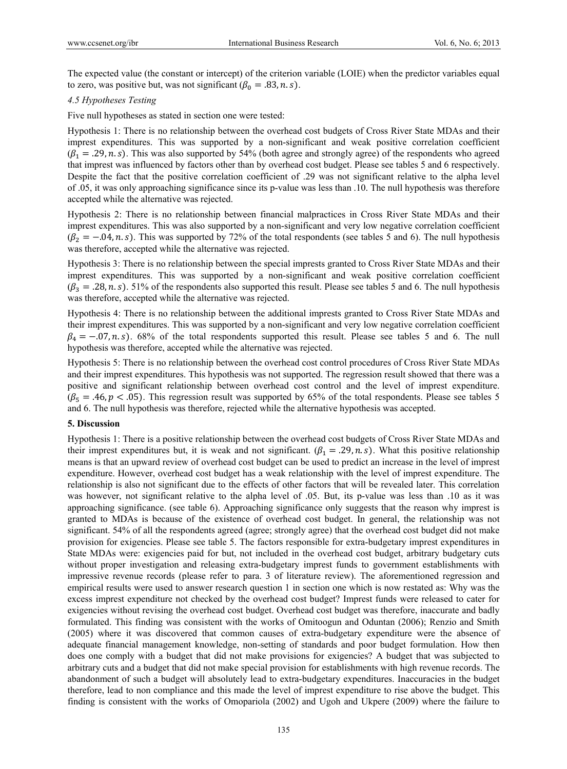The expected value (the constant or intercept) of the criterion variable (LOIE) when the predictor variables equal to zero, was positive but, was not significant  $(\beta_0 = .83, n.s)$ .

#### *4.5 Hypotheses Testing*

Five null hypotheses as stated in section one were tested:

Hypothesis 1: There is no relationship between the overhead cost budgets of Cross River State MDAs and their imprest expenditures. This was supported by a non-significant and weak positive correlation coefficient  $(\beta_1 = .29, n.s)$ . This was also supported by 54% (both agree and strongly agree) of the respondents who agreed that imprest was influenced by factors other than by overhead cost budget. Please see tables 5 and 6 respectively. Despite the fact that the positive correlation coefficient of .29 was not significant relative to the alpha level of .05, it was only approaching significance since its p-value was less than .10. The null hypothesis was therefore accepted while the alternative was rejected.

Hypothesis 2: There is no relationship between financial malpractices in Cross River State MDAs and their imprest expenditures. This was also supported by a non-significant and very low negative correlation coefficient  $(\beta_2 = -.04, n.s)$ . This was supported by 72% of the total respondents (see tables 5 and 6). The null hypothesis was therefore, accepted while the alternative was rejected.

Hypothesis 3: There is no relationship between the special imprests granted to Cross River State MDAs and their imprest expenditures. This was supported by a non-significant and weak positive correlation coefficient  $(\beta_3 = .28, n.s)$ . 51% of the respondents also supported this result. Please see tables 5 and 6. The null hypothesis was therefore, accepted while the alternative was rejected.

Hypothesis 4: There is no relationship between the additional imprests granted to Cross River State MDAs and their imprest expenditures. This was supported by a non-significant and very low negative correlation coefficient  $\beta_4 = -0.07$ , n. s). 68% of the total respondents supported this result. Please see tables 5 and 6. The null hypothesis was therefore, accepted while the alternative was rejected.

Hypothesis 5: There is no relationship between the overhead cost control procedures of Cross River State MDAs and their imprest expenditures. This hypothesis was not supported. The regression result showed that there was a positive and significant relationship between overhead cost control and the level of imprest expenditure.  $(\beta_5 = .46, p < .05)$ . This regression result was supported by 65% of the total respondents. Please see tables 5 and 6. The null hypothesis was therefore, rejected while the alternative hypothesis was accepted.

#### **5. Discussion**

Hypothesis 1: There is a positive relationship between the overhead cost budgets of Cross River State MDAs and their imprest expenditures but, it is weak and not significant.  $(\beta_1 = .29, n.s)$ . What this positive relationship means is that an upward review of overhead cost budget can be used to predict an increase in the level of imprest expenditure. However, overhead cost budget has a weak relationship with the level of imprest expenditure. The relationship is also not significant due to the effects of other factors that will be revealed later. This correlation was however, not significant relative to the alpha level of .05. But, its p-value was less than .10 as it was approaching significance. (see table 6). Approaching significance only suggests that the reason why imprest is granted to MDAs is because of the existence of overhead cost budget. In general, the relationship was not significant. 54% of all the respondents agreed (agree; strongly agree) that the overhead cost budget did not make provision for exigencies. Please see table 5. The factors responsible for extra-budgetary imprest expenditures in State MDAs were: exigencies paid for but, not included in the overhead cost budget, arbitrary budgetary cuts without proper investigation and releasing extra-budgetary imprest funds to government establishments with impressive revenue records (please refer to para. 3 of literature review). The aforementioned regression and empirical results were used to answer research question 1 in section one which is now restated as: Why was the excess imprest expenditure not checked by the overhead cost budget? Imprest funds were released to cater for exigencies without revising the overhead cost budget. Overhead cost budget was therefore, inaccurate and badly formulated. This finding was consistent with the works of Omitoogun and Oduntan (2006); Renzio and Smith (2005) where it was discovered that common causes of extra-budgetary expenditure were the absence of adequate financial management knowledge, non-setting of standards and poor budget formulation. How then does one comply with a budget that did not make provisions for exigencies? A budget that was subjected to arbitrary cuts and a budget that did not make special provision for establishments with high revenue records. The abandonment of such a budget will absolutely lead to extra-budgetary expenditures. Inaccuracies in the budget therefore, lead to non compliance and this made the level of imprest expenditure to rise above the budget. This finding is consistent with the works of Omopariola (2002) and Ugoh and Ukpere (2009) where the failure to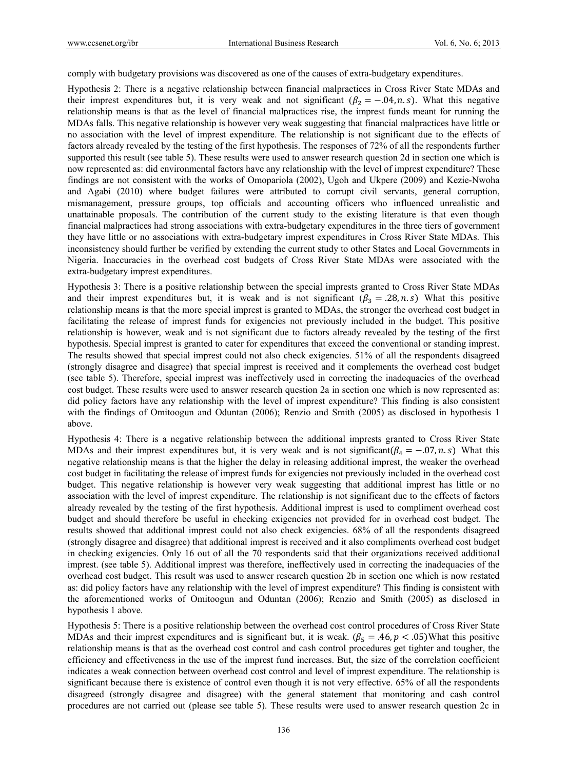comply with budgetary provisions was discovered as one of the causes of extra-budgetary expenditures.

Hypothesis 2: There is a negative relationship between financial malpractices in Cross River State MDAs and their imprest expenditures but, it is very weak and not significant ( $\beta_2 = -0.04$ , n.s). What this negative relationship means is that as the level of financial malpractices rise, the imprest funds meant for running the MDAs falls. This negative relationship is however very weak suggesting that financial malpractices have little or no association with the level of imprest expenditure. The relationship is not significant due to the effects of factors already revealed by the testing of the first hypothesis. The responses of 72% of all the respondents further supported this result (see table 5). These results were used to answer research question 2d in section one which is now represented as: did environmental factors have any relationship with the level of imprest expenditure? These findings are not consistent with the works of Omopariola (2002), Ugoh and Ukpere (2009) and Kezie-Nwoha and Agabi (2010) where budget failures were attributed to corrupt civil servants, general corruption, mismanagement, pressure groups, top officials and accounting officers who influenced unrealistic and unattainable proposals. The contribution of the current study to the existing literature is that even though financial malpractices had strong associations with extra-budgetary expenditures in the three tiers of government they have little or no associations with extra-budgetary imprest expenditures in Cross River State MDAs. This inconsistency should further be verified by extending the current study to other States and Local Governments in Nigeria. Inaccuracies in the overhead cost budgets of Cross River State MDAs were associated with the extra-budgetary imprest expenditures.

Hypothesis 3: There is a positive relationship between the special imprests granted to Cross River State MDAs and their imprest expenditures but, it is weak and is not significant  $(\beta_3 = .28, n.s)$  What this positive relationship means is that the more special imprest is granted to MDAs, the stronger the overhead cost budget in facilitating the release of imprest funds for exigencies not previously included in the budget. This positive relationship is however, weak and is not significant due to factors already revealed by the testing of the first hypothesis. Special imprest is granted to cater for expenditures that exceed the conventional or standing imprest. The results showed that special imprest could not also check exigencies. 51% of all the respondents disagreed (strongly disagree and disagree) that special imprest is received and it complements the overhead cost budget (see table 5). Therefore, special imprest was ineffectively used in correcting the inadequacies of the overhead cost budget. These results were used to answer research question 2a in section one which is now represented as: did policy factors have any relationship with the level of imprest expenditure? This finding is also consistent with the findings of Omitoogun and Oduntan (2006); Renzio and Smith (2005) as disclosed in hypothesis 1 above.

Hypothesis 4: There is a negative relationship between the additional imprests granted to Cross River State MDAs and their imprest expenditures but, it is very weak and is not significant  $(\beta_4 = -0.07, n.s)$  What this negative relationship means is that the higher the delay in releasing additional imprest, the weaker the overhead cost budget in facilitating the release of imprest funds for exigencies not previously included in the overhead cost budget. This negative relationship is however very weak suggesting that additional imprest has little or no association with the level of imprest expenditure. The relationship is not significant due to the effects of factors already revealed by the testing of the first hypothesis. Additional imprest is used to compliment overhead cost budget and should therefore be useful in checking exigencies not provided for in overhead cost budget. The results showed that additional imprest could not also check exigencies. 68% of all the respondents disagreed (strongly disagree and disagree) that additional imprest is received and it also compliments overhead cost budget in checking exigencies. Only 16 out of all the 70 respondents said that their organizations received additional imprest. (see table 5). Additional imprest was therefore, ineffectively used in correcting the inadequacies of the overhead cost budget. This result was used to answer research question 2b in section one which is now restated as: did policy factors have any relationship with the level of imprest expenditure? This finding is consistent with the aforementioned works of Omitoogun and Oduntan (2006); Renzio and Smith (2005) as disclosed in hypothesis 1 above.

Hypothesis 5: There is a positive relationship between the overhead cost control procedures of Cross River State MDAs and their imprest expenditures and is significant but, it is weak. ( $\beta_5 = .46$ ,  $p < .05$ )What this positive relationship means is that as the overhead cost control and cash control procedures get tighter and tougher, the efficiency and effectiveness in the use of the imprest fund increases. But, the size of the correlation coefficient indicates a weak connection between overhead cost control and level of imprest expenditure. The relationship is significant because there is existence of control even though it is not very effective. 65% of all the respondents disagreed (strongly disagree and disagree) with the general statement that monitoring and cash control procedures are not carried out (please see table 5). These results were used to answer research question 2c in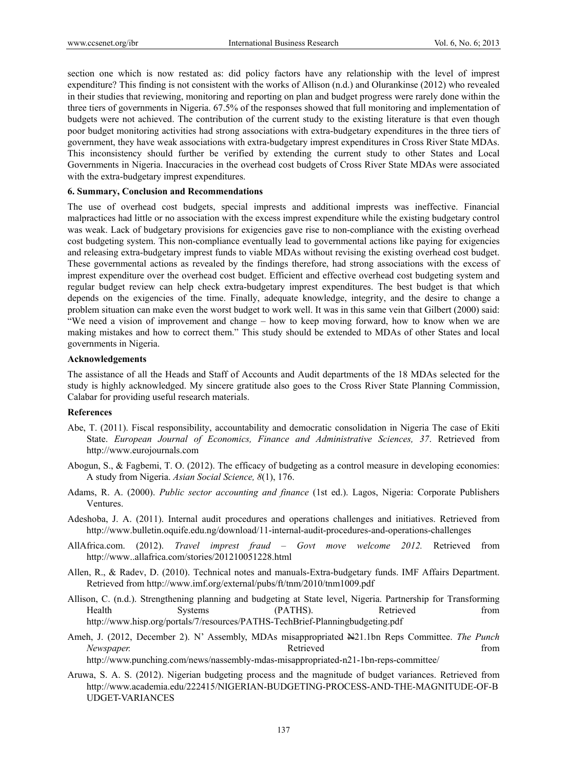section one which is now restated as: did policy factors have any relationship with the level of imprest expenditure? This finding is not consistent with the works of Allison (n.d.) and Olurankinse (2012) who revealed in their studies that reviewing, monitoring and reporting on plan and budget progress were rarely done within the three tiers of governments in Nigeria. 67.5% of the responses showed that full monitoring and implementation of budgets were not achieved. The contribution of the current study to the existing literature is that even though poor budget monitoring activities had strong associations with extra-budgetary expenditures in the three tiers of government, they have weak associations with extra-budgetary imprest expenditures in Cross River State MDAs. This inconsistency should further be verified by extending the current study to other States and Local Governments in Nigeria. Inaccuracies in the overhead cost budgets of Cross River State MDAs were associated with the extra-budgetary imprest expenditures.

# **6. Summary, Conclusion and Recommendations**

The use of overhead cost budgets, special imprests and additional imprests was ineffective. Financial malpractices had little or no association with the excess imprest expenditure while the existing budgetary control was weak. Lack of budgetary provisions for exigencies gave rise to non-compliance with the existing overhead cost budgeting system. This non-compliance eventually lead to governmental actions like paying for exigencies and releasing extra-budgetary imprest funds to viable MDAs without revising the existing overhead cost budget. These governmental actions as revealed by the findings therefore, had strong associations with the excess of imprest expenditure over the overhead cost budget. Efficient and effective overhead cost budgeting system and regular budget review can help check extra-budgetary imprest expenditures. The best budget is that which depends on the exigencies of the time. Finally, adequate knowledge, integrity, and the desire to change a problem situation can make even the worst budget to work well. It was in this same vein that Gilbert (2000) said: "We need a vision of improvement and change – how to keep moving forward, how to know when we are making mistakes and how to correct them." This study should be extended to MDAs of other States and local governments in Nigeria.

#### **Acknowledgements**

The assistance of all the Heads and Staff of Accounts and Audit departments of the 18 MDAs selected for the study is highly acknowledged. My sincere gratitude also goes to the Cross River State Planning Commission, Calabar for providing useful research materials.

#### **References**

- Abe, T. (2011). Fiscal responsibility, accountability and democratic consolidation in Nigeria The case of Ekiti State. *European Journal of Economics, Finance and Administrative Sciences, 37*. Retrieved from http://www.eurojournals.com
- Abogun, S., & Fagbemi, T. O. (2012). The efficacy of budgeting as a control measure in developing economies: A study from Nigeria. *Asian Social Science, 8*(1), 176.
- Adams, R. A. (2000). *Public sector accounting and finance* (1st ed.). Lagos, Nigeria: Corporate Publishers Ventures.
- Adeshoba, J. A. (2011). Internal audit procedures and operations challenges and initiatives. Retrieved from http://www.bulletin.oquife.edu.ng/download/11-internal-audit-procedures-and-operations-challenges
- AllAfrica.com. (2012). *Travel imprest fraud Govt move welcome 2012.* Retrieved from http://www..allafrica.com/stories/201210051228.html
- Allen, R., & Radev, D. (2010). Technical notes and manuals-Extra-budgetary funds. IMF Affairs Department. Retrieved from http://www.imf.org/external/pubs/ft/tnm/2010/tnm1009.pdf
- Allison, C. (n.d.). Strengthening planning and budgeting at State level, Nigeria. Partnership for Transforming Health Systems (PATHS). Retrieved from http://www.hisp.org/portals/7/resources/PATHS-TechBrief-Planningbudgeting.pdf
- Ameh, J. (2012, December 2). N' Assembly, MDAs misappropriated  $\bigoplus$ 21.1bn Reps Committee. *The Punch Newspaper.* The contract of the contract of the Retrieved from  $\mathbb{R}$  and  $\mathbb{R}$  and  $\mathbb{R}$  and  $\mathbb{R}$  and  $\mathbb{R}$  and  $\mathbb{R}$  and  $\mathbb{R}$  and  $\mathbb{R}$  and  $\mathbb{R}$  and  $\mathbb{R}$  and  $\mathbb{R}$  and  $\mathbb{R}$  and  $\$ http://www.punching.com/news/nassembly-mdas-misappropriated-n21-1bn-reps-committee/
- Aruwa, S. A. S. (2012). Nigerian budgeting process and the magnitude of budget variances. Retrieved from http://www.academia.edu/222415/NIGERIAN-BUDGETING-PROCESS-AND-THE-MAGNITUDE-OF-B UDGET-VARIANCES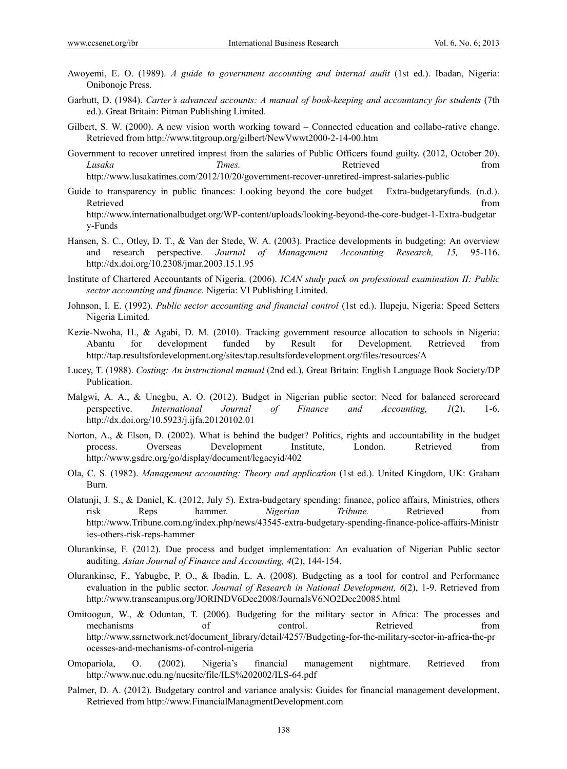- Awoyemi, E. O. (1989). *A guide to government accounting and internal audit* (1st ed.). Ibadan, Nigeria: Onibonoje Press.
- Garbutt, D. (1984). *Carter's advanced accounts: A manual of book-keeping and accountancy for students* (7th ed.). Great Britain: Pitman Publishing Limited.
- Gilbert, S. W. (2000). A new vision worth working toward Connected education and collabo-rative change. Retrieved from http://www.titgroup.org/gilbert/NewVwwt2000-2-14-00.htm
- Government to recover unretired imprest from the salaries of Public Officers found guilty. (2012, October 20). *Lusaka* from *Times.* The Retrieved from http://www.lusakatimes.com/2012/10/20/government-recover-unretired-imprest-salaries-public
- Guide to transparency in public finances: Looking beyond the core budget Extra-budgetaryfunds. (n.d.). Retrieved that the contract of the contract of the contract of the contract of the contract of the contract of the contract of the contract of the contract of the contract of the contract of the contract of the contract of http://www.internationalbudget.org/WP-content/uploads/looking-beyond-the-core-budget-1-Extra-budgetar y-Funds
- Hansen, S. C., Otley, D. T., & Van der Stede, W. A. (2003). Practice developments in budgeting: An overview and research perspective. *Journal of Management Accounting Research, 15,* 95-116. http://dx.doi.org/10.2308/jmar.2003.15.1.95
- Institute of Chartered Accountants of Nigeria. (2006). *ICAN study pack on professional examination II: Public sector accounting and finance.* Nigeria: VI Publishing Limited.
- Johnson, I. E. (1992). *Public sector accounting and financial control* (1st ed.). Ilupeju, Nigeria: Speed Setters Nigeria Limited.
- Kezie-Nwoha, H., & Agabi, D. M. (2010). Tracking government resource allocation to schools in Nigeria: Abantu for development funded by Result for Development. Retrieved from http://tap.resultsfordevelopment.org/sites/tap.resultsfordevelopment.org/files/resources/A
- Lucey, T. (1988). *Costing: An instructional manual* (2nd ed.). Great Britain: English Language Book Society/DP Publication.
- Malgwi, A. A., & Unegbu, A. O. (2012). Budget in Nigerian public sector: Need for balanced scrorecard perspective. *International Journal of Finance and Accounting, 1*(2), 1-6. http://dx.doi.org/10.5923/j.ijfa.20120102.01
- Norton, A., & Elson, D. (2002). What is behind the budget? Politics, rights and accountability in the budget process. Overseas Development Institute, London. Retrieved from http://www.gsdrc.org/go/display/document/legacyid/402
- Ola, C. S. (1982). *Management accounting: Theory and application* (1st ed.). United Kingdom, UK: Graham Burn.
- Olatunji, J. S., & Daniel, K. (2012, July 5). Extra-budgetary spending: finance, police affairs, Ministries, others risk Reps hammer. *Nigerian Tribune.* Retrieved from http://www.Tribune.com.ng/index.php/news/43545-extra-budgetary-spending-finance-police-affairs-Ministr ies-others-risk-reps-hammer
- Olurankinse, F. (2012). Due process and budget implementation: An evaluation of Nigerian Public sector auditing. *Asian Journal of Finance and Accounting, 4*(2), 144-154.
- Olurankinse, F., Yabugbe, P. O., & Ibadin, L. A. (2008). Budgeting as a tool for control and Performance evaluation in the public sector. *Journal of Research in National Development, 6*(2), 1-9. Retrieved from http://www.transcampus.org/JORINDV6Dec2008/JournalsV6NO2Dec20085.html
- Omitoogun, W., & Oduntan, T. (2006). Budgeting for the military sector in Africa: The processes and mechanisms of control. Retrieved from http://www.ssrnetwork.net/document\_library/detail/4257/Budgeting-for-the-military-sector-in-africa-the-pr ocesses-and-mechanisms-of-control-nigeria
- Omopariola, O. (2002). Nigeria's financial management nightmare. Retrieved from http://www.nuc.edu.ng/nucsite/file/ILS%202002/ILS-64.pdf
- Palmer, D. A. (2012). Budgetary control and variance analysis: Guides for financial management development. Retrieved from http://www.FinancialManagmentDevelopment.com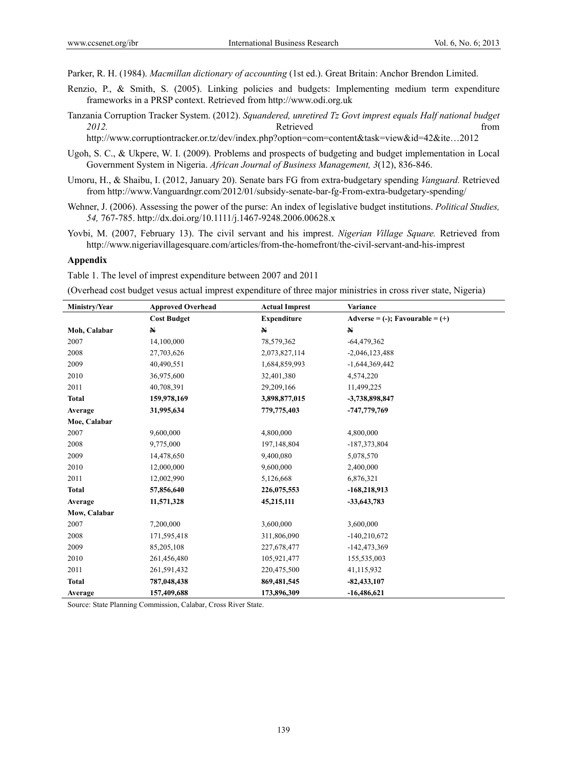Parker, R. H. (1984). *Macmillan dictionary of accounting* (1st ed.). Great Britain: Anchor Brendon Limited.

- Renzio, P., & Smith, S. (2005). Linking policies and budgets: Implementing medium term expenditure frameworks in a PRSP context. Retrieved from http://www.odi.org.uk
- Tanzania Corruption Tracker System. (2012). *Squandered, unretired Tz Govt imprest equals Half national budget*  **2012. Constanting to the Retrieved** from **Retrieved** from *Retrieved* from *Retrieved*

http://www.corruptiontracker.or.tz/dev/index.php?option=com=content&task=view&id=42&ite…2012

- Ugoh, S. C., & Ukpere, W. I. (2009). Problems and prospects of budgeting and budget implementation in Local Government System in Nigeria. *African Journal of Business Management, 3*(12), 836-846.
- Umoru, H., & Shaibu, I. (2012, January 20). Senate bars FG from extra-budgetary spending *Vanguard.* Retrieved from http://www.Vanguardngr.com/2012/01/subsidy-senate-bar-fg-From-extra-budgetary-spending/
- Wehner, J. (2006). Assessing the power of the purse: An index of legislative budget institutions. *Political Studies, 54,* 767-785. http://dx.doi.org/10.1111/j.1467-9248.2006.00628.x
- Yovbi, M. (2007, February 13). The civil servant and his imprest. *Nigerian Village Square.* Retrieved from http://www.nigeriavillagesquare.com/articles/from-the-homefront/the-civil-servant-and-his-imprest

#### **Appendix**

Table 1. The level of imprest expenditure between 2007 and 2011

(Overhead cost budget vesus actual imprest expenditure of three major ministries in cross river state, Nigeria)

| Ministry/Year | <b>Approved Overhead</b> | <b>Actual Imprest</b> | Variance                                        |
|---------------|--------------------------|-----------------------|-------------------------------------------------|
|               | <b>Cost Budget</b>       | <b>Expenditure</b>    | $\text{Adverse} = (-); \text{Favourable} = (+)$ |
| Moh, Calabar  | $\mathbf N$              | $\mathbf{N}$          | $\mathbb N$                                     |
| 2007          | 14,100,000               | 78,579,362            | $-64,479,362$                                   |
| 2008          | 27,703,626               | 2,073,827,114         | $-2,046,123,488$                                |
| 2009          | 40,490,551               | 1,684,859,993         | $-1,644,369,442$                                |
| 2010          | 36,975,600               | 32,401,380            | 4,574,220                                       |
| 2011          | 40,708,391               | 29,209,166            | 11,499,225                                      |
| <b>Total</b>  | 159,978,169              | 3,898,877,015         | -3,738,898,847                                  |
| Average       | 31,995,634               | 779,775,403           | -747,779,769                                    |
| Moe, Calabar  |                          |                       |                                                 |
| 2007          | 9,600,000                | 4,800,000             | 4,800,000                                       |
| 2008          | 9,775,000                | 197,148,804           | -187, 373, 804                                  |
| 2009          | 14,478,650               | 9,400,080             | 5,078,570                                       |
| 2010          | 12,000,000               | 9,600,000             | 2,400,000                                       |
| 2011          | 12,002,990               | 5,126,668             | 6,876,321                                       |
| <b>Total</b>  | 57,856,640               | 226,075,553           | $-168,218,913$                                  |
| Average       | 11,571,328               | 45,215,111            | $-33,643,783$                                   |
| Mow, Calabar  |                          |                       |                                                 |
| 2007          | 7,200,000                | 3,600,000             | 3,600,000                                       |
| 2008          | 171,595,418              | 311,806,090           | $-140,210,672$                                  |
| 2009          | 85,205,108               | 227,678,477           | $-142,473,369$                                  |
| 2010          | 261,456,480              | 105,921,477           | 155,535,003                                     |
| 2011          | 261,591,432              | 220,475,500           | 41,115,932                                      |
| <b>Total</b>  | 787,048,438              | 869,481,545           | $-82,433,107$                                   |
| Average       | 157,409,688              | 173,896,309           | $-16,486,621$                                   |

Source: State Planning Commission, Calabar, Cross River State.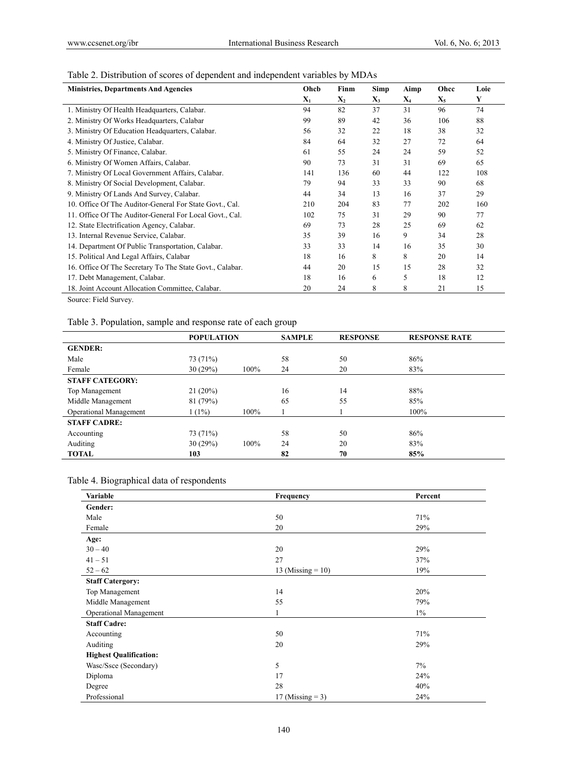# Table 2. Distribution of scores of dependent and independent variables by MDAs

| Ohcb           | Finm           | <b>Simp</b> | Aimp  | Ohcc           | Loie |
|----------------|----------------|-------------|-------|----------------|------|
| $\mathbf{X}_1$ | $\mathbf{X}_2$ | $X_3$       | $X_4$ | $\mathbf{X}_5$ | Y    |
| 94             | 82             | 37          | 31    | 96             | 74   |
| 99             | 89             | 42          | 36    | 106            | 88   |
| 56             | 32             | 22          | 18    | 38             | 32   |
| 84             | 64             | 32          | 27    | 72             | 64   |
| 61             | 55             | 24          | 24    | 59             | 52   |
| 90             | 73             | 31          | 31    | 69             | 65   |
| 141            | 136            | 60          | 44    | 122            | 108  |
| 79             | 94             | 33          | 33    | 90             | 68   |
| 44             | 34             | 13          | 16    | 37             | 29   |
| 210            | 204            | 83          | 77    | 202            | 160  |
| 102            | 75             | 31          | 29    | 90             | 77   |
| 69             | 73             | 28          | 25    | 69             | 62   |
| 35             | 39             | 16          | 9     | 34             | 28   |
| 33             | 33             | 14          | 16    | 35             | 30   |
| 18             | 16             | 8           | 8     | 20             | 14   |
| 44             | 20             | 15          | 15    | 28             | 32   |
| 18             | 16             | 6           | 5     | 18             | 12   |
| 20             | 24             | 8           | 8     | 21             | 15   |
|                |                |             |       |                |      |

Source: Field Survey.

Table 3. Population, sample and response rate of each group

|                               | <b>POPULATION</b> |      | <b>SAMPLE</b> | <b>RESPONSE</b> | <b>RESPONSE RATE</b> |
|-------------------------------|-------------------|------|---------------|-----------------|----------------------|
| <b>GENDER:</b>                |                   |      |               |                 |                      |
| Male                          | 73 (71%)          |      | 58            | 50              | 86%                  |
| Female                        | 30(29%)           | 100% | 24            | 20              | 83%                  |
| <b>STAFF CATEGORY:</b>        |                   |      |               |                 |                      |
| Top Management                | 21(20%)           |      | 16            | 14              | 88%                  |
| Middle Management             | 81(79%)           |      | 65            | 55              | 85%                  |
| <b>Operational Management</b> | $1(1\%)$          | 100% |               |                 | 100%                 |
| <b>STAFF CADRE:</b>           |                   |      |               |                 |                      |
| Accounting                    | 73 (71%)          |      | 58            | 50              | 86%                  |
| Auditing                      | 30(29%)           | 100% | 24            | 20              | 83%                  |
| <b>TOTAL</b>                  | 103               |      | 82            | 70              | 85%                  |

Table 4. Biographical data of respondents

| Variable                      | Frequency            | Percent |
|-------------------------------|----------------------|---------|
| Gender:                       |                      |         |
| Male                          | 50                   | 71%     |
| Female                        | 20                   | 29%     |
| Age:                          |                      |         |
| $30 - 40$                     | 20                   | 29%     |
| $41 - 51$                     | 27                   | 37%     |
| $52 - 62$                     | 13 (Missing $= 10$ ) | 19%     |
| <b>Staff Catergory:</b>       |                      |         |
| Top Management                | 14                   | 20%     |
| Middle Management             | 55                   | 79%     |
| Operational Management        | 1                    | $1\%$   |
| <b>Staff Cadre:</b>           |                      |         |
| Accounting                    | 50                   | 71%     |
| Auditing                      | 20                   | 29%     |
| <b>Highest Qualification:</b> |                      |         |
| Wasc/Ssce (Secondary)         | 5                    | 7%      |
| Diploma                       | 17                   | 24%     |
| Degree                        | 28                   | 40%     |
| Professional                  | 17 (Missing $=$ 3)   | 24%     |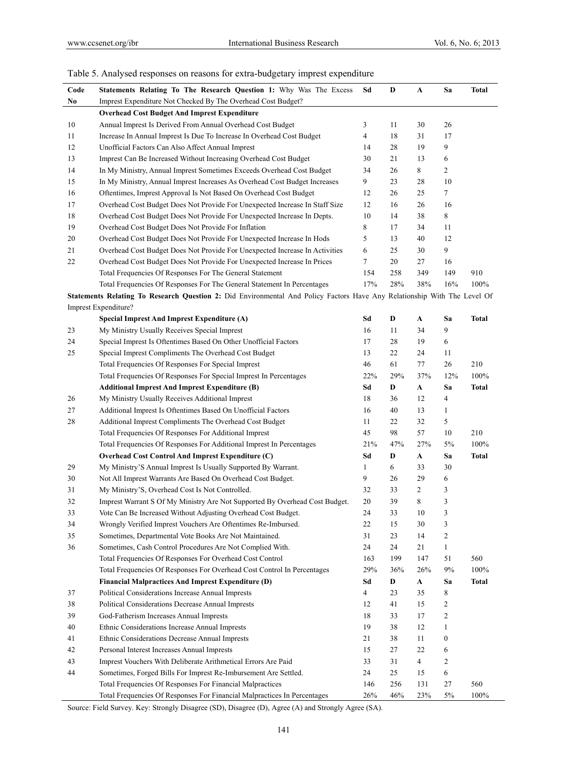# Table 5. Analysed responses on reasons for extra-budgetary imprest expenditure

| Code | Statements Relating To The Research Question 1: Why Was The Excess                                                       | Sd  | D   | A           | Sa               | Total        |
|------|--------------------------------------------------------------------------------------------------------------------------|-----|-----|-------------|------------------|--------------|
| No   | Imprest Expenditure Not Checked By The Overhead Cost Budget?                                                             |     |     |             |                  |              |
|      | <b>Overhead Cost Budget And Imprest Expenditure</b>                                                                      |     |     |             |                  |              |
| 10   | Annual Imprest Is Derived From Annual Overhead Cost Budget                                                               | 3   | 11  | 30          | 26               |              |
| 11   | Increase In Annual Imprest Is Due To Increase In Overhead Cost Budget                                                    | 4   | 18  | 31          | 17               |              |
| 12   | Unofficial Factors Can Also Affect Annual Imprest                                                                        | 14  | 28  | 19          | 9                |              |
| 13   | Imprest Can Be Increased Without Increasing Overhead Cost Budget                                                         | 30  | 21  | 13          | 6                |              |
| 14   | In My Ministry, Annual Imprest Sometimes Exceeds Overhead Cost Budget                                                    | 34  | 26  | 8           | $\overline{c}$   |              |
| 15   | In My Ministry, Annual Imprest Increases As Overhead Cost Budget Increases                                               | 9   | 23  | 28          | 10               |              |
| 16   | Oftentimes, Imprest Approval Is Not Based On Overhead Cost Budget                                                        | 12  | 26  | 25          | $\tau$           |              |
| 17   | Overhead Cost Budget Does Not Provide For Unexpected Increase In Staff Size                                              | 12  | 16  | 26          | 16               |              |
| 18   | Overhead Cost Budget Does Not Provide For Unexpected Increase In Depts.                                                  | 10  | 14  | 38          | 8                |              |
| 19   | Overhead Cost Budget Does Not Provide For Inflation                                                                      | 8   | 17  | 34          | 11               |              |
| 20   | Overhead Cost Budget Does Not Provide For Unexpected Increase In Hods                                                    | 5   | 13  | 40          | 12               |              |
| 21   | Overhead Cost Budget Does Not Provide For Unexpected Increase In Activities                                              | 6   | 25  | 30          | 9                |              |
| 22   | Overhead Cost Budget Does Not Provide For Unexpected Increase In Prices                                                  | 7   | 20  | 27          | 16               |              |
|      | Total Frequencies Of Responses For The General Statement                                                                 | 154 | 258 | 349         | 149              | 910          |
|      | Total Frequencies Of Responses For The General Statement In Percentages                                                  | 17% | 28% | 38%         | 16%              | 100%         |
|      | Statements Relating To Research Question 2: Did Environmental And Policy Factors Have Any Relationship With The Level Of |     |     |             |                  |              |
|      | Imprest Expenditure?                                                                                                     |     |     |             |                  |              |
|      | <b>Special Imprest And Imprest Expenditure (A)</b>                                                                       | Sd  | D   | A           | Sa               | <b>Total</b> |
| 23   | My Ministry Usually Receives Special Imprest                                                                             | 16  | 11  | 34          | 9                |              |
| 24   | Special Imprest Is Oftentimes Based On Other Unofficial Factors                                                          | 17  | 28  | 19          | 6                |              |
| 25   | Special Imprest Compliments The Overhead Cost Budget                                                                     | 13  | 22  | 24          | 11               |              |
|      | Total Frequencies Of Responses For Special Imprest                                                                       | 46  | 61  | 77          | 26               | 210          |
|      | Total Frequencies Of Responses For Special Imprest In Percentages                                                        | 22% | 29% | 37%         | 12%              | 100%         |
|      | <b>Additional Imprest And Imprest Expenditure (B)</b>                                                                    | Sd  | D   | A           | Sa               | <b>Total</b> |
| 26   | My Ministry Usually Receives Additional Imprest                                                                          | 18  | 36  | 12          | 4                |              |
| 27   | Additional Imprest Is Oftentimes Based On Unofficial Factors                                                             | 16  | 40  | 13          | 1                |              |
| 28   | Additional Imprest Compliments The Overhead Cost Budget                                                                  | 11  | 22  | 32          | 5                |              |
|      | Total Frequencies Of Responses For Additional Imprest                                                                    | 45  | 98  | 57          | 10               | 210          |
|      | Total Frequencies Of Responses For Additional Imprest In Percentages                                                     | 21% | 47% | 27%         | 5%               | 100%         |
|      | Overhead Cost Control And Imprest Expenditure (C)                                                                        | Sd  | D   | A           | Sa               | <b>Total</b> |
| 29   | My Ministry'S Annual Imprest Is Usually Supported By Warrant.                                                            | 1   | 6   | 33          | 30               |              |
| 30   | Not All Imprest Warrants Are Based On Overhead Cost Budget.                                                              | 9   | 26  | 29          | 6                |              |
| 31   | My Ministry'S, Overhead Cost Is Not Controlled.                                                                          | 32  | 33  | 2           | 3                |              |
| 32   | Imprest Warrant S Of My Ministry Are Not Supported By Overhead Cost Budget.                                              | 20  | 39  | 8           | 3                |              |
| 33   | Vote Can Be Increased Without Adjusting Overhead Cost Budget.                                                            | 24  | 33  | 10          | $\mathfrak{Z}$   |              |
| 34   | Wrongly Verified Imprest Vouchers Are Oftentimes Re-Imbursed.                                                            | 22  | 15  | 30          | 3                |              |
| 35   | Sometimes, Departmental Vote Books Are Not Maintained.                                                                   | 31  | 23  | 14          | $\overline{c}$   |              |
| 36   | Sometimes, Cash Control Procedures Are Not Complied With.                                                                | 24  | 24  | 21          | $\mathbf{1}$     |              |
|      | Total Frequencies Of Responses For Overhead Cost Control                                                                 | 163 | 199 | 147         | 51               | 560          |
|      | Total Frequencies Of Responses For Overhead Cost Control In Percentages                                                  | 29% | 36% | 26%         | 9%               | 100%         |
|      | <b>Financial Malpractices And Imprest Expenditure (D)</b>                                                                | Sd  | D   | $\mathbf A$ | Sa               | <b>Total</b> |
| 37   | Political Considerations Increase Annual Imprests                                                                        | 4   | 23  | 35          | 8                |              |
| 38   | Political Considerations Decrease Annual Imprests                                                                        | 12  | 41  | 15          | $\boldsymbol{2}$ |              |
| 39   | God-Fatherism Increases Annual Imprests                                                                                  | 18  | 33  | 17          | $\boldsymbol{2}$ |              |
| 40   | Ethnic Considerations Increase Annual Imprests                                                                           | 19  | 38  | 12          | $\mathbf{1}$     |              |
| 41   | Ethnic Considerations Decrease Annual Imprests                                                                           | 21  | 38  | 11          | $\boldsymbol{0}$ |              |
| 42   | Personal Interest Increases Annual Imprests                                                                              | 15  | 27  | 22          | 6                |              |
| 43   | Imprest Vouchers With Deliberate Arithmetical Errors Are Paid                                                            | 33  | 31  | 4           | 2                |              |
| 44   | Sometimes, Forged Bills For Imprest Re-Imbursement Are Settled.                                                          | 24  | 25  | 15          | 6                |              |
|      | Total Frequencies Of Responses For Financial Malpractices                                                                | 146 | 256 | 131         | 27               | 560          |
|      | Total Frequencies Of Responses For Financial Malpractices In Percentages                                                 | 26% | 46% | 23%         | 5%               | 100%         |

Source: Field Survey. Key: Strongly Disagree (SD), Disagree (D), Agree (A) and Strongly Agree (SA).